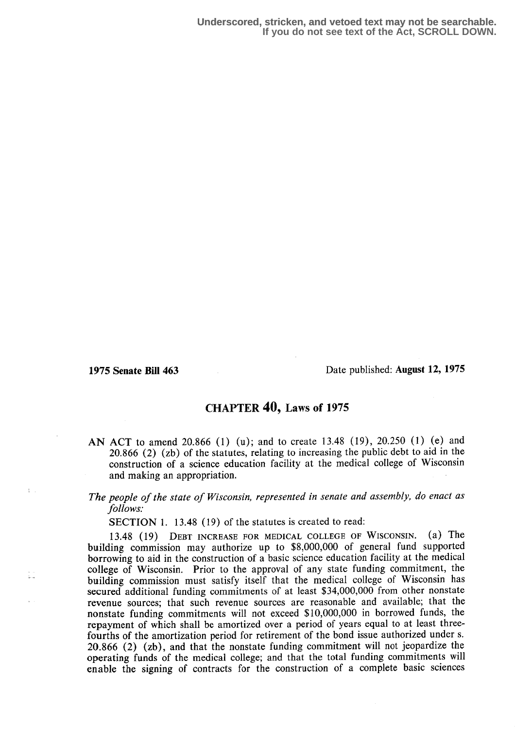$\frac{1}{2}$  .

i.<br>Ha

1975 Senate Bill 463 Date published: August 12, 1975

## CHAPTER  $40$ , Laws of 1975

- AN ACT to amend 20.866 (1) (u); and to create 13.48 (19), 20.250 (1) (e) and 20.866 (2) (zb) of the statutes, relating to increasing the public debt to aid in the construction of a science education facility at the medical college of Wisconsin and making an appropriation.
- The people of the state of Wisconsin, represented in senate and assembly, do enact as follows:

SECTION 1. 13.48 (19) of the statutes is created to read:

13.48 (19) DEBT INCREASE FOR MEDICAL COLLEGE OF WISCONSIN. (2) The building commission may authorize up to \$8,000,000 of general fund supported borrowing to aid in the construction of a basic science education facility at the medical college of Wisconsin. Prior to the approval of any state funding commitment, the building commission must satisfy itself that the medical college of Wisconsin has secured additional funding commitments of at least \$34,000,000 from other nonstate revenue sources; that such revenue sources are reasonable and available; that the nonstate funding commitments will not exceed \$10,000,000 in borrowed funds, the repayment of which shall be amortized over a period of years equal to at least threefourths of the amortization period for retirement of the bond issue authorized under s. 20.866 (2) (zb), and that the nonstate funding commitment will not jeopardize the operating funds of the medical college; and that the total funding commitments will enable the signing of contracts for the construction of a complete basic sciences